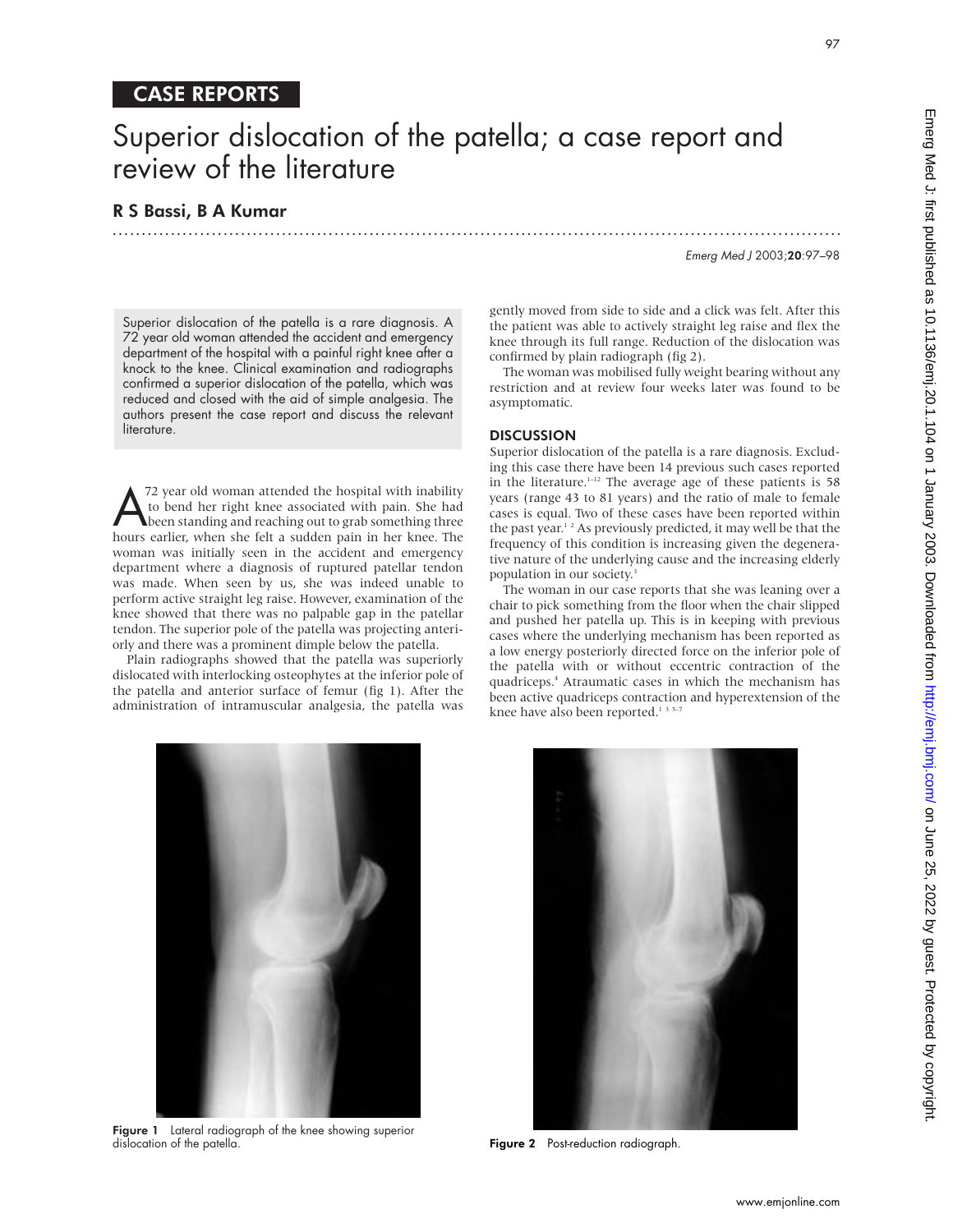# CASE REPORTS

# Superior dislocation of the patella; a case report and review of the literature

.............................................................................................................................

### R S Bassi, B A Kumar

Emerg Med J 2003;20:97–98

Superior dislocation of the patella is a rare diagnosis. A 72 year old woman attended the accident and emergency department of the hospital with a painful right knee after a knock to the knee. Clinical examination and radiographs confirmed a superior dislocation of the patella, which was reduced and closed with the aid of simple analgesia. The authors present the case report and discuss the relevant literature.

A<sup>72</sup> year old woman attended the hospital with inability<br>to bend her right knee associated with pain. She had<br>been standing and reaching out to grab something three<br>hours earlier when she felt a sudden pain in her knee. T to bend her right knee associated with pain. She had been standing and reaching out to grab something three hours earlier, when she felt a sudden pain in her knee. The woman was initially seen in the accident and emergency department where a diagnosis of ruptured patellar tendon was made. When seen by us, she was indeed unable to perform active straight leg raise. However, examination of the knee showed that there was no palpable gap in the patellar tendon. The superior pole of the patella was projecting anteriorly and there was a prominent dimple below the patella.

Plain radiographs showed that the patella was superiorly dislocated with interlocking osteophytes at the inferior pole of the patella and anterior surface of femur (fig 1). After the administration of intramuscular analgesia, the patella was

gently moved from side to side and a click was felt. After this the patient was able to actively straight leg raise and flex the knee through its full range. Reduction of the dislocation was confirmed by plain radiograph (fig 2).

The woman was mobilised fully weight bearing without any restriction and at review four weeks later was found to be asymptomatic.

#### **DISCUSSION**

Superior dislocation of the patella is a rare diagnosis. Excluding this case there have been 14 previous such cases reported in the literature.<sup>1-12</sup> The average age of these patients is 58 years (range 43 to 81 years) and the ratio of male to female cases is equal. Two of these cases have been reported within the past year.<sup>12</sup> As previously predicted, it may well be that the frequency of this condition is increasing given the degenerative nature of the underlying cause and the increasing elderly population in our society.<sup>3</sup>

The woman in our case reports that she was leaning over a chair to pick something from the floor when the chair slipped and pushed her patella up. This is in keeping with previous cases where the underlying mechanism has been reported as a low energy posteriorly directed force on the inferior pole of the patella with or without eccentric contraction of the quadriceps.4 Atraumatic cases in which the mechanism has been active quadriceps contraction and hyperextension of the knee have also been reported.<sup>135-7</sup>



Figure 1 Lateral radiograph of the knee showing superior dislocation of the patella.



Figure 2 Post-reduction radiograph.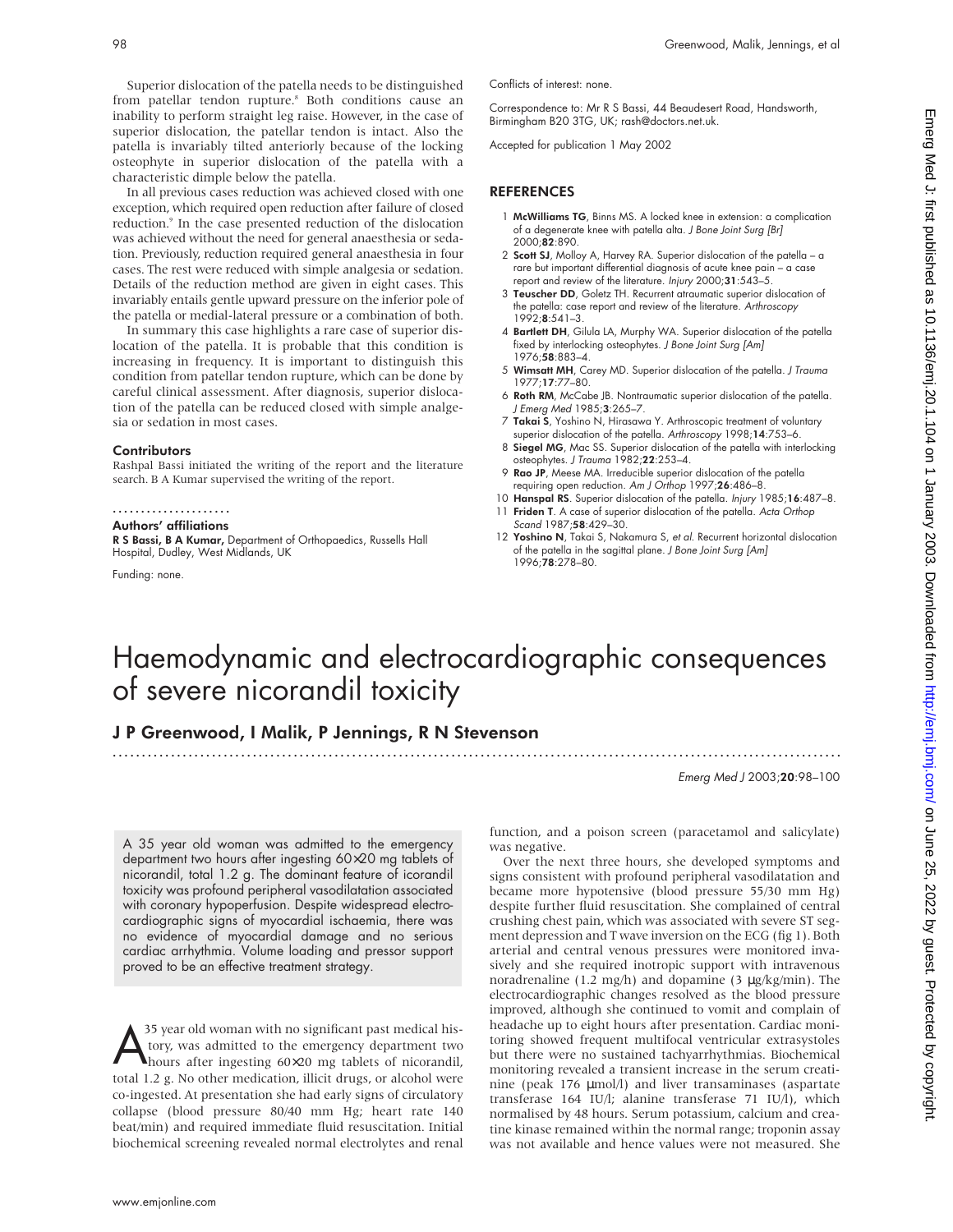Superior dislocation of the patella needs to be distinguished from patellar tendon rupture.<sup>8</sup> Both conditions cause an inability to perform straight leg raise. However, in the case of superior dislocation, the patellar tendon is intact. Also the patella is invariably tilted anteriorly because of the locking osteophyte in superior dislocation of the patella with a characteristic dimple below the patella.

In all previous cases reduction was achieved closed with one exception, which required open reduction after failure of closed reduction.<sup>9</sup> In the case presented reduction of the dislocation was achieved without the need for general anaesthesia or sedation. Previously, reduction required general anaesthesia in four cases. The rest were reduced with simple analgesia or sedation. Details of the reduction method are given in eight cases. This invariably entails gentle upward pressure on the inferior pole of the patella or medial-lateral pressure or a combination of both.

In summary this case highlights a rare case of superior dislocation of the patella. It is probable that this condition is increasing in frequency. It is important to distinguish this condition from patellar tendon rupture, which can be done by careful clinical assessment. After diagnosis, superior dislocation of the patella can be reduced closed with simple analgesia or sedation in most cases.

#### **Contributors**

Rashpal Bassi initiated the writing of the report and the literature search. B A Kumar supervised the writing of the report.

#### .....................

#### Authors' affiliations

R S Bassi, B A Kumar, Department of Orthopaedics, Russells Hall Hospital, Dudley, West Midlands, UK

Funding: none.

Conflicts of interest: none.

Correspondence to: Mr R S Bassi, 44 Beaudesert Road, Handsworth, Birmingham B20 3TG, UK; rash@doctors.net.uk.

Accepted for publication 1 May 2002

#### **REFERENCES**

- 1 McWilliams TG, Binns MS. A locked knee in extension: a complication of a degenerate knee with patella alta. J Bone Joint Surg [Br] 2000;82:890.
- 2 Scott SJ, Molloy A, Harvey RA. Superior dislocation of the patella a rare but important differential diagnosis of acute knee pain – a case report and review of the literature. Injury 2000;31:543–5.
- 3 Teuscher DD, Goletz TH. Recurrent atraumatic superior dislocation of the patella: case report and review of the literature. Arthroscopy 1992;8:541–3.
- 4 Bartlett DH, Gilula LA, Murphy WA. Superior dislocation of the patella fixed by interlocking osteophytes. J Bone Joint Surg [Am] 1976;58:883–4.
- 5 Wimsatt MH, Carey MD. Superior dislocation of the patella. J Trauma 1977;17:77–80.
- 6 Roth RM, McCabe JB. Nontraumatic superior dislocation of the patella. J Emerg Med 1985;3:265-7.
- 7 Takai S, Yoshino N, Hirasawa Y. Arthroscopic treatment of voluntary superior dislocation of the patella. Arthroscopy 1998;14:753–6.
- 8 Siegel MG, Mac SS. Superior dislocation of the patella with interlocking osteophytes. J Trauma 1982;22:253–4.
- 9 Rao JP, Meese MA. Irreducible superior dislocation of the patella requiring open reduction. Am J Orthop 1997;26:486-8.
- 10 Hanspal RS. Superior dislocation of the patella. Injury 1985;16:487–8.
- 11 Friden T. A case of superior dislocation of the patella. Acta Orthop Scand 1987;58:429–30.
- 12 Yoshino N, Takai S, Nakamura S, et al. Recurrent horizontal dislocation of the patella in the sagittal plane. J Bone Joint Surg [Am] 1996;78:278–80.

# Haemodynamic and electrocardiographic consequences of severe nicorandil toxicity

.............................................................................................................................

### J P Greenwood, I Malik, P Jennings, R N Stevenson

Emerg Med J 2003;20:98–100

A 35 year old woman was admitted to the emergency department two hours after ingesting 60×20 mg tablets of nicorandil, total 1.2 g. The dominant feature of icorandil toxicity was profound peripheral vasodilatation associated with coronary hypoperfusion. Despite widespread electrocardiographic signs of myocardial ischaemia, there was no evidence of myocardial damage and no serious cardiac arrhythmia. Volume loading and pressor support proved to be an effective treatment strategy.

A<sup>35</sup> year old woman with no significant past medical history, was admitted to the emergency department two hours after ingesting 60×20 mg tablets of nicorandil, tory, was admitted to the emergency department two total 1.2 g. No other medication, illicit drugs, or alcohol were co-ingested. At presentation she had early signs of circulatory collapse (blood pressure 80/40 mm Hg; heart rate 140 beat/min) and required immediate fluid resuscitation. Initial biochemical screening revealed normal electrolytes and renal

function, and a poison screen (paracetamol and salicylate) was negative.

Over the next three hours, she developed symptoms and signs consistent with profound peripheral vasodilatation and became more hypotensive (blood pressure 55/30 mm Hg) despite further fluid resuscitation. She complained of central crushing chest pain, which was associated with severe ST segment depression and T wave inversion on the ECG (fig 1). Both arterial and central venous pressures were monitored invasively and she required inotropic support with intravenous noradrenaline (1.2 mg/h) and dopamine (3 µg/kg/min). The electrocardiographic changes resolved as the blood pressure improved, although she continued to vomit and complain of headache up to eight hours after presentation. Cardiac monitoring showed frequent multifocal ventricular extrasystoles but there were no sustained tachyarrhythmias. Biochemical monitoring revealed a transient increase in the serum creatinine (peak 176 µmol/l) and liver transaminases (aspartate transferase 164 IU/l; alanine transferase 71 IU/l), which normalised by 48 hours. Serum potassium, calcium and creatine kinase remained within the normal range; troponin assay was not available and hence values were not measured. She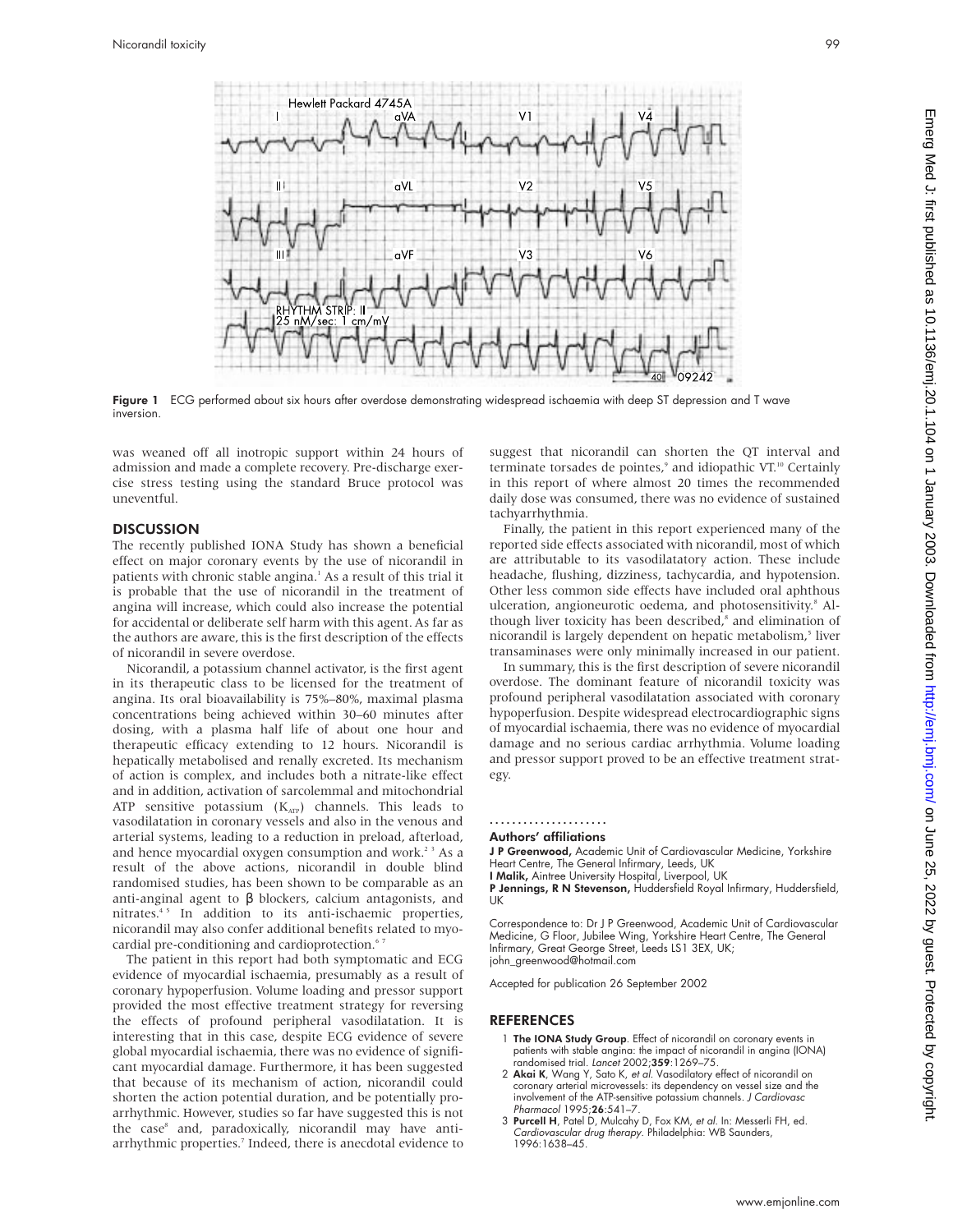

Figure 1 ECG performed about six hours after overdose demonstrating widespread ischaemia with deep ST depression and T wave inversion.

was weaned off all inotropic support within 24 hours of admission and made a complete recovery. Pre-discharge exercise stress testing using the standard Bruce protocol was uneventful.

#### **DISCUSSION**

The recently published IONA Study has shown a beneficial effect on major coronary events by the use of nicorandil in patients with chronic stable angina.<sup>1</sup> As a result of this trial it is probable that the use of nicorandil in the treatment of angina will increase, which could also increase the potential for accidental or deliberate self harm with this agent. As far as the authors are aware, this is the first description of the effects of nicorandil in severe overdose.

Nicorandil, a potassium channel activator, is the first agent in its therapeutic class to be licensed for the treatment of angina. Its oral bioavailability is 75%–80%, maximal plasma concentrations being achieved within 30–60 minutes after dosing, with a plasma half life of about one hour and therapeutic efficacy extending to 12 hours. Nicorandil is hepatically metabolised and renally excreted. Its mechanism of action is complex, and includes both a nitrate-like effect and in addition, activation of sarcolemmal and mitochondrial ATP sensitive potassium  $(K<sub>ATP</sub>)$  channels. This leads to vasodilatation in coronary vessels and also in the venous and arterial systems, leading to a reduction in preload, afterload, and hence myocardial oxygen consumption and work.<sup>23</sup> As a result of the above actions, nicorandil in double blind randomised studies, has been shown to be comparable as an anti-anginal agent to β blockers, calcium antagonists, and nitrates.4 5 In addition to its anti-ischaemic properties, nicorandil may also confer additional benefits related to myocardial pre-conditioning and cardioprotection.<sup>67</sup>

The patient in this report had both symptomatic and ECG evidence of myocardial ischaemia, presumably as a result of coronary hypoperfusion. Volume loading and pressor support provided the most effective treatment strategy for reversing the effects of profound peripheral vasodilatation. It is interesting that in this case, despite ECG evidence of severe global myocardial ischaemia, there was no evidence of significant myocardial damage. Furthermore, it has been suggested that because of its mechanism of action, nicorandil could shorten the action potential duration, and be potentially proarrhythmic. However, studies so far have suggested this is not the case<sup>8</sup> and, paradoxically, nicorandil may have antiarrhythmic properties.<sup>7</sup> Indeed, there is anecdotal evidence to suggest that nicorandil can shorten the QT interval and terminate torsades de pointes,<sup>9</sup> and idiopathic VT.<sup>10</sup> Certainly in this report of where almost 20 times the recommended daily dose was consumed, there was no evidence of sustained tachyarrhythmia.

Finally, the patient in this report experienced many of the reported side effects associated with nicorandil, most of which are attributable to its vasodilatatory action. These include headache, flushing, dizziness, tachycardia, and hypotension. Other less common side effects have included oral aphthous ulceration, angioneurotic oedema, and photosensitivity.8 Although liver toxicity has been described,<sup>8</sup> and elimination of nicorandil is largely dependent on hepatic metabolism,<sup>5</sup> liver transaminases were only minimally increased in our patient.

In summary, this is the first description of severe nicorandil overdose. The dominant feature of nicorandil toxicity was profound peripheral vasodilatation associated with coronary hypoperfusion. Despite widespread electrocardiographic signs of myocardial ischaemia, there was no evidence of myocardial damage and no serious cardiac arrhythmia. Volume loading and pressor support proved to be an effective treatment strategy.

#### ..................... Authors' affiliations

**J P Greenwood, Academic Unit of Cardiovascular Medicine, Yorkshire** 

Heart Centre, The General Infirmary, Leeds, UK<br>**I Malik,** Aintree University Hospital, Liverpool, UK

P Jennings, R N Stevenson, Huddersfield Royal Infirmary, Huddersfield, UK

Correspondence to: DrJPGreenwood, Academic Unit of Cardiovascular Medicine, G Floor, Jubilee Wing, Yorkshire Heart Centre, The General Infirmary, Great George Street, Leeds LS1 3EX, UK; john\_greenwood@hotmail.com

Accepted for publication 26 September 2002

- 1 The IONA Study Group. Effect of nicorandil on coronary events in patients with stable angina: the impact of nicorandil in angina (IONA) randomised trial. Lancet 2002;359:1269–75.
- 2 Akai K, Wang Y, Sato K, et al. Vasodilatory effect of nicorandil on coronary arterial microvessels: its dependency on vessel size and the involvement of the ATP-sensitive potassium channels. J Cardiovasc Pharmacol 1995;26:541-7
- 3 Purcell H, Patel D, Mulcahy D, Fox KM, et al. In: Messerli FH, ed. Cardiovascular drug therapy. Philadelphia: WB Saunders, 1996:1638–45.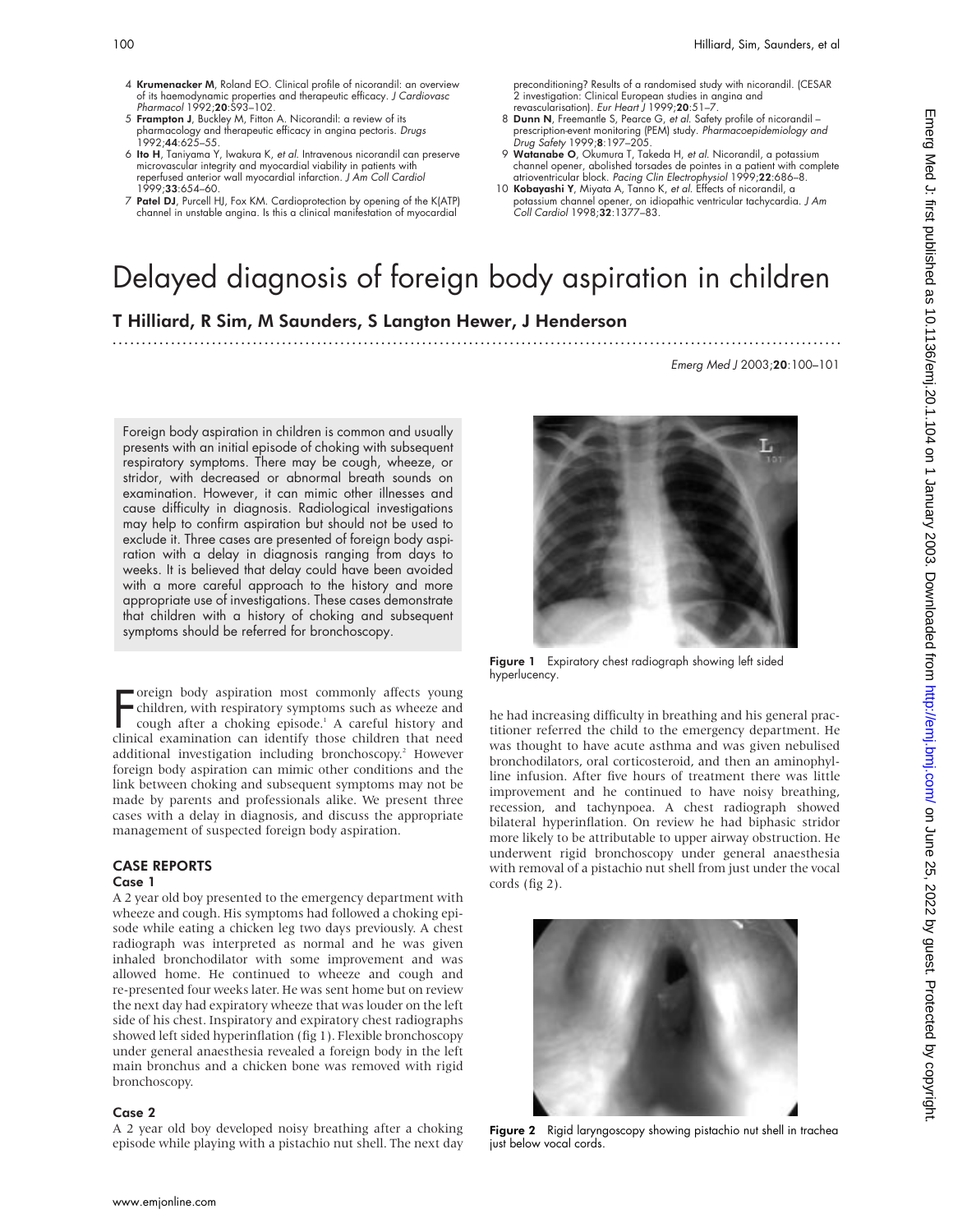Emerg Med J 2003;20:100–101

- 4 Krumenacker M, Roland EO. Clinical profile of nicorandil: an overview of its haemodynamic properties and therapeutic efficacy. *J Cardiovasc*<br>Pharmacol 1992;**20**:S93–102.
- 5 Frampton J, Buckley M, Fitton A. Nicorandil: a review of its pharmacology and therapeutic efficacy in angina pectoris. Drugs  $1992 \cdot 44.625 - 55$
- 6 Ito H, Taniyama Y, Iwakura K, et al. Intravenous nicorandil can preserve microvascular integrity and myocardial viability in patients with reperfused anterior wall myocardial infarction. J Am Coll Cardiol 1999;33:654–60.
- 7 Patel DJ, Purcell HJ, Fox KM. Cardioprotection by opening of the K(ATP) channel in unstable angina. Is this a clinical manifestation of myocardial

preconditioning? Results of a randomised study with nicorandil. (CESAR 2 investigation: Clinical European studies in angina and revascularisation). Eur Heart J 1999;20:51–7.

- 8 Dunn N, Freemantle S, Pearce G, et al. Safety profile of nicorandil prescription-event monitoring (PEM) study. Pharmacoepidemiology and Drug Safety 1999;8:197–205.
- 9 Watanabe O, Okumura T, Takeda H, et al. Nicorandil, a potassium channel opener, abolished torsades de pointes in a patient with complete<br>atrioventricular block. *Pacing Clin Electrophysiol* 1999;**22**:686–8.
- 10 Kobayashi Y, Miyata A, Tanno K, et al. Effects of nicorandil, a potassium channel opener, on idiopathic ventricular tachycardia. J Am Coll Cardiol 1998;32:1377–83.

# Delayed diagnosis of foreign body aspiration in children

.............................................................................................................................

T Hilliard, R Sim, M Saunders, S Langton Hewer, J Henderson

Foreign body aspiration in children is common and usually presents with an initial episode of choking with subsequent respiratory symptoms. There may be cough, wheeze, or stridor, with decreased or abnormal breath sounds on examination. However, it can mimic other illnesses and cause difficulty in diagnosis. Radiological investigations may help to confirm aspiration but should not be used to exclude it. Three cases are presented of foreign body aspiration with a delay in diagnosis ranging from days to weeks. It is believed that delay could have been avoided with a more careful approach to the history and more appropriate use of investigations. These cases demonstrate that children with a history of choking and subsequent symptoms should be referred for bronchoscopy.

Foreign body aspiration most commonly affects young<br>
children, with respiratory symptoms such as wheeze and<br>
cough after a choking episode.<sup>1</sup> A careful history and<br>
clinical examination can identify those children that ne oreign body aspiration most commonly affects young children, with respiratory symptoms such as wheeze and cough after a choking episode.<sup>1</sup> A careful history and additional investigation including bronchoscopy.<sup>2</sup> However foreign body aspiration can mimic other conditions and the link between choking and subsequent symptoms may not be made by parents and professionals alike. We present three cases with a delay in diagnosis, and discuss the appropriate management of suspected foreign body aspiration.

#### CASE REPORTS Case 1

A 2 year old boy presented to the emergency department with wheeze and cough. His symptoms had followed a choking episode while eating a chicken leg two days previously. A chest radiograph was interpreted as normal and he was given inhaled bronchodilator with some improvement and was allowed home. He continued to wheeze and cough and re-presented four weeks later. He was sent home but on review the next day had expiratory wheeze that was louder on the left side of his chest. Inspiratory and expiratory chest radiographs showed left sided hyperinflation (fig 1). Flexible bronchoscopy under general anaesthesia revealed a foreign body in the left main bronchus and a chicken bone was removed with rigid bronchoscopy.

#### Case 2

A 2 year old boy developed noisy breathing after a choking episode while playing with a pistachio nut shell. The next day



Figure 1 Expiratory chest radiograph showing left sided hyperlucency.

he had increasing difficulty in breathing and his general practitioner referred the child to the emergency department. He was thought to have acute asthma and was given nebulised bronchodilators, oral corticosteroid, and then an aminophylline infusion. After five hours of treatment there was little improvement and he continued to have noisy breathing, recession, and tachynpoea. A chest radiograph showed bilateral hyperinflation. On review he had biphasic stridor more likely to be attributable to upper airway obstruction. He underwent rigid bronchoscopy under general anaesthesia with removal of a pistachio nut shell from just under the vocal cords (fig 2).



Figure 2 Rigid laryngoscopy showing pistachio nut shell in trachea just below vocal cords.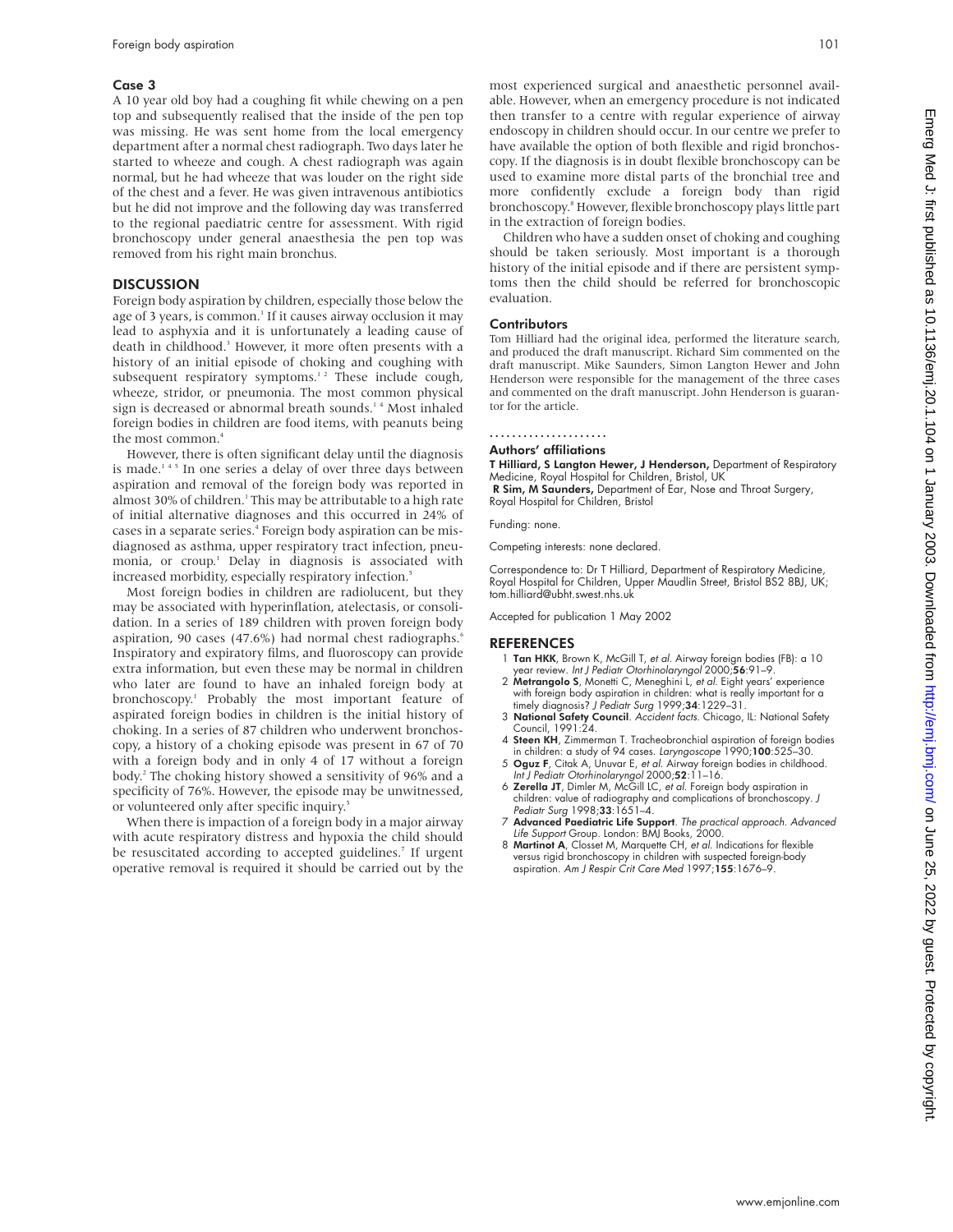#### Case 3

A 10 year old boy had a coughing fit while chewing on a pen top and subsequently realised that the inside of the pen top was missing. He was sent home from the local emergency department after a normal chest radiograph. Two days later he started to wheeze and cough. A chest radiograph was again normal, but he had wheeze that was louder on the right side of the chest and a fever. He was given intravenous antibiotics but he did not improve and the following day was transferred to the regional paediatric centre for assessment. With rigid bronchoscopy under general anaesthesia the pen top was removed from his right main bronchus.

#### **DISCUSSION**

Foreign body aspiration by children, especially those below the age of 3 years, is common.<sup>1</sup> If it causes airway occlusion it may lead to asphyxia and it is unfortunately a leading cause of death in childhood.<sup>3</sup> However, it more often presents with a history of an initial episode of choking and coughing with subsequent respiratory symptoms.<sup>12</sup> These include cough, wheeze, stridor, or pneumonia. The most common physical sign is decreased or abnormal breath sounds.<sup>14</sup> Most inhaled foreign bodies in children are food items, with peanuts being the most common.<sup>4</sup>

However, there is often significant delay until the diagnosis is made.<sup>145</sup> In one series a delay of over three days between aspiration and removal of the foreign body was reported in almost 30% of children.<sup>1</sup> This may be attributable to a high rate of initial alternative diagnoses and this occurred in 24% of cases in a separate series.<sup>4</sup> Foreign body aspiration can be misdiagnosed as asthma, upper respiratory tract infection, pneumonia, or croup.<sup>1</sup> Delay in diagnosis is associated with increased morbidity, especially respiratory infection.<sup>5</sup>

Most foreign bodies in children are radiolucent, but they may be associated with hyperinflation, atelectasis, or consolidation. In a series of 189 children with proven foreign body aspiration, 90 cases (47.6%) had normal chest radiographs.<sup>6</sup> Inspiratory and expiratory films, and fluoroscopy can provide extra information, but even these may be normal in children who later are found to have an inhaled foreign body at bronchoscopy.1 Probably the most important feature of aspirated foreign bodies in children is the initial history of choking. In a series of 87 children who underwent bronchoscopy, a history of a choking episode was present in 67 of 70 with a foreign body and in only 4 of 17 without a foreign body.2 The choking history showed a sensitivity of 96% and a specificity of 76%. However, the episode may be unwitnessed, or volunteered only after specific inquiry.<sup>5</sup>

When there is impaction of a foreign body in a major airway with acute respiratory distress and hypoxia the child should be resuscitated according to accepted guidelines.<sup>7</sup> If urgent operative removal is required it should be carried out by the most experienced surgical and anaesthetic personnel available. However, when an emergency procedure is not indicated then transfer to a centre with regular experience of airway endoscopy in children should occur. In our centre we prefer to have available the option of both flexible and rigid bronchoscopy. If the diagnosis is in doubt flexible bronchoscopy can be used to examine more distal parts of the bronchial tree and more confidently exclude a foreign body than rigid bronchoscopy.8 However, flexible bronchoscopy plays little part in the extraction of foreign bodies.

Children who have a sudden onset of choking and coughing should be taken seriously. Most important is a thorough history of the initial episode and if there are persistent symptoms then the child should be referred for bronchoscopic evaluation.

#### **Contributors**

Tom Hilliard had the original idea, performed the literature search, and produced the draft manuscript. Richard Sim commented on the draft manuscript. Mike Saunders, Simon Langton Hewer and John Henderson were responsible for the management of the three cases and commented on the draft manuscript. John Henderson is guarantor for the article.

### .....................

Authors' affiliations

T Hilliard, S Langton Hewer, J Henderson, Department of Respiratory Medicine, Royal Hospital for Children, Bristol, UK

R Sim, M Saunders, Department of Ear, Nose and Throat Surgery, Royal Hospital for Children, Bristol

Funding: none.

Competing interests: none declared.

Correspondence to: Dr T Hilliard, Department of Respiratory Medicine, Royal Hospital for Children, Upper Maudlin Street, Bristol BS2 8BJ, UK; tom.hilliard@ubht.swest.nhs.uk

Accepted for publication 1 May 2002

- 1 Tan HKK, Brown K, McGill T, et al. Airway foreign bodies (FB): a 10 year review. Int J Pediatr Otorhinolaryngol 2000;56:91–9.
- 2 Metrangolo S, Monetti C, Meneghini L, et al. Eight years' experience with foreign body aspiration in children: what is really important for a timely diagnosis? *J Pediatr Surg* 1999;**34**:1229–31.
- 3 National Safety Council. Accident facts. Chicago, IL: National Safety Council, 1991:24.
- 4 Steen KH, Zimmerman T. Tracheobronchial aspiration of foreign bodies in children: a study of 94 cases. Laryngoscope 1990;100:525–30.
- 5 Oguz F, Citak A, Unuvar E, et al. Airway foreign bodies in childhood. Int J Pediatr Otorhinolaryngol 2000;52:11-16.
- 6 Zerella JT, Dimler M, McGill LC, et al. Foreign body aspiration in children: value of radiography and complications of bronchoscopy. J Pediatr Surg 1998;33:1651–4.
- 7 Advanced Paediatric Life Support. The practical approach. Advanced Life Support Group. London: BMJ Books, 2000.
- 8 Martinot A, Closset M, Marquette CH, et al. Indications for flexible versus rigid bronchoscopy in children with suspected foreign-body aspiration. Am J Respir Crit Care Med 1997;155:1676-9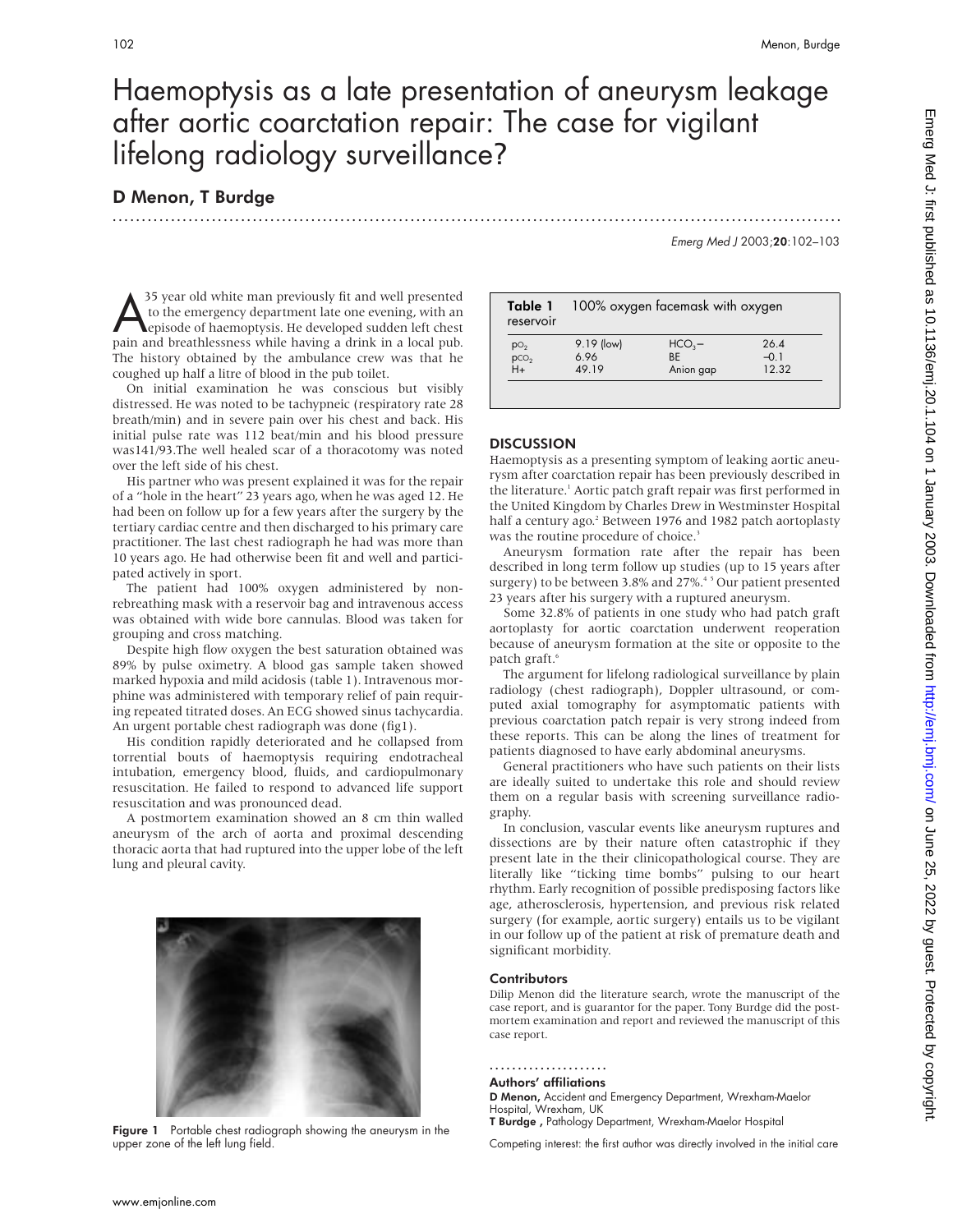# Haemoptysis as a late presentation of aneurysm leakage after aortic coarctation repair: The case for vigilant lifelong radiology surveillance?

.............................................................................................................................

### D Menon, T Burdge

Emerg Med J 2003;20:102–103

<sup>35</sup> year old white man previously fit and well presented<br>to the emergency department late one evening, with an<br>episode of haemoptysis. He developed sudden left chest<br>pain and breathlessness while having a drink in a local to the emergency department late one evening, with an episode of haemoptysis. He developed sudden left chest pain and breathlessness while having a drink in a local pub. The history obtained by the ambulance crew was that he coughed up half a litre of blood in the pub toilet.

On initial examination he was conscious but visibly distressed. He was noted to be tachypneic (respiratory rate 28 breath/min) and in severe pain over his chest and back. His initial pulse rate was 112 beat/min and his blood pressure was141/93.The well healed scar of a thoracotomy was noted over the left side of his chest.

His partner who was present explained it was for the repair of a "hole in the heart" 23 years ago, when he was aged 12. He had been on follow up for a few years after the surgery by the tertiary cardiac centre and then discharged to his primary care practitioner. The last chest radiograph he had was more than 10 years ago. He had otherwise been fit and well and participated actively in sport.

The patient had 100% oxygen administered by nonrebreathing mask with a reservoir bag and intravenous access was obtained with wide bore cannulas. Blood was taken for grouping and cross matching.

Despite high flow oxygen the best saturation obtained was 89% by pulse oximetry. A blood gas sample taken showed marked hypoxia and mild acidosis (table 1). Intravenous morphine was administered with temporary relief of pain requiring repeated titrated doses. An ECG showed sinus tachycardia. An urgent portable chest radiograph was done (fig1).

His condition rapidly deteriorated and he collapsed from torrential bouts of haemoptysis requiring endotracheal intubation, emergency blood, fluids, and cardiopulmonary resuscitation. He failed to respond to advanced life support resuscitation and was pronounced dead.

A postmortem examination showed an 8 cm thin walled aneurysm of the arch of aorta and proximal descending thoracic aorta that had ruptured into the upper lobe of the left lung and pleural cavity.



Figure 1 Portable chest radiograph showing the aneurysm in the upper zone of the left lung field.

| Table 1<br>reservoir    | 100% oxygen facemask with oxygen |                  |              |
|-------------------------|----------------------------------|------------------|--------------|
|                         | 9.19 (low)                       | HCO <sub>3</sub> | $26\,\Delta$ |
|                         | 6.96                             | <b>BF</b>        | $-0.1$       |
| $pO2$<br>$pCO2$<br>$H+$ | 49 19                            | Anion gap        | 12.32        |

#### **DISCUSSION**

Haemoptysis as a presenting symptom of leaking aortic aneurysm after coarctation repair has been previously described in the literature.<sup>1</sup> Aortic patch graft repair was first performed in the United Kingdom by Charles Drew in Westminster Hospital half a century ago.<sup>2</sup> Between 1976 and 1982 patch aortoplasty was the routine procedure of choice.<sup>3</sup>

Aneurysm formation rate after the repair has been described in long term follow up studies (up to 15 years after surgery) to be between 3.8% and 27%.<sup>45</sup> Our patient presented 23 years after his surgery with a ruptured aneurysm.

Some 32.8% of patients in one study who had patch graft aortoplasty for aortic coarctation underwent reoperation because of aneurysm formation at the site or opposite to the patch graft.<sup>6</sup>

The argument for lifelong radiological surveillance by plain radiology (chest radiograph), Doppler ultrasound, or computed axial tomography for asymptomatic patients with previous coarctation patch repair is very strong indeed from these reports. This can be along the lines of treatment for patients diagnosed to have early abdominal aneurysms.

General practitioners who have such patients on their lists are ideally suited to undertake this role and should review them on a regular basis with screening surveillance radiography.

In conclusion, vascular events like aneurysm ruptures and dissections are by their nature often catastrophic if they present late in the their clinicopathological course. They are literally like "ticking time bombs" pulsing to our heart rhythm. Early recognition of possible predisposing factors like age, atherosclerosis, hypertension, and previous risk related surgery (for example, aortic surgery) entails us to be vigilant in our follow up of the patient at risk of premature death and significant morbidity.

#### **Contributors**

Dilip Menon did the literature search, wrote the manuscript of the case report, and is guarantor for the paper. Tony Burdge did the postmortem examination and report and reviewed the manuscript of this case report.

.....................

#### Authors' affiliations

D Menon, Accident and Emergency Department, Wrexham-Maelor Hospital, Wrexham, UK T Burdge , Pathology Department, Wrexham-Maelor Hospital

Competing interest: the first author was directly involved in the initial care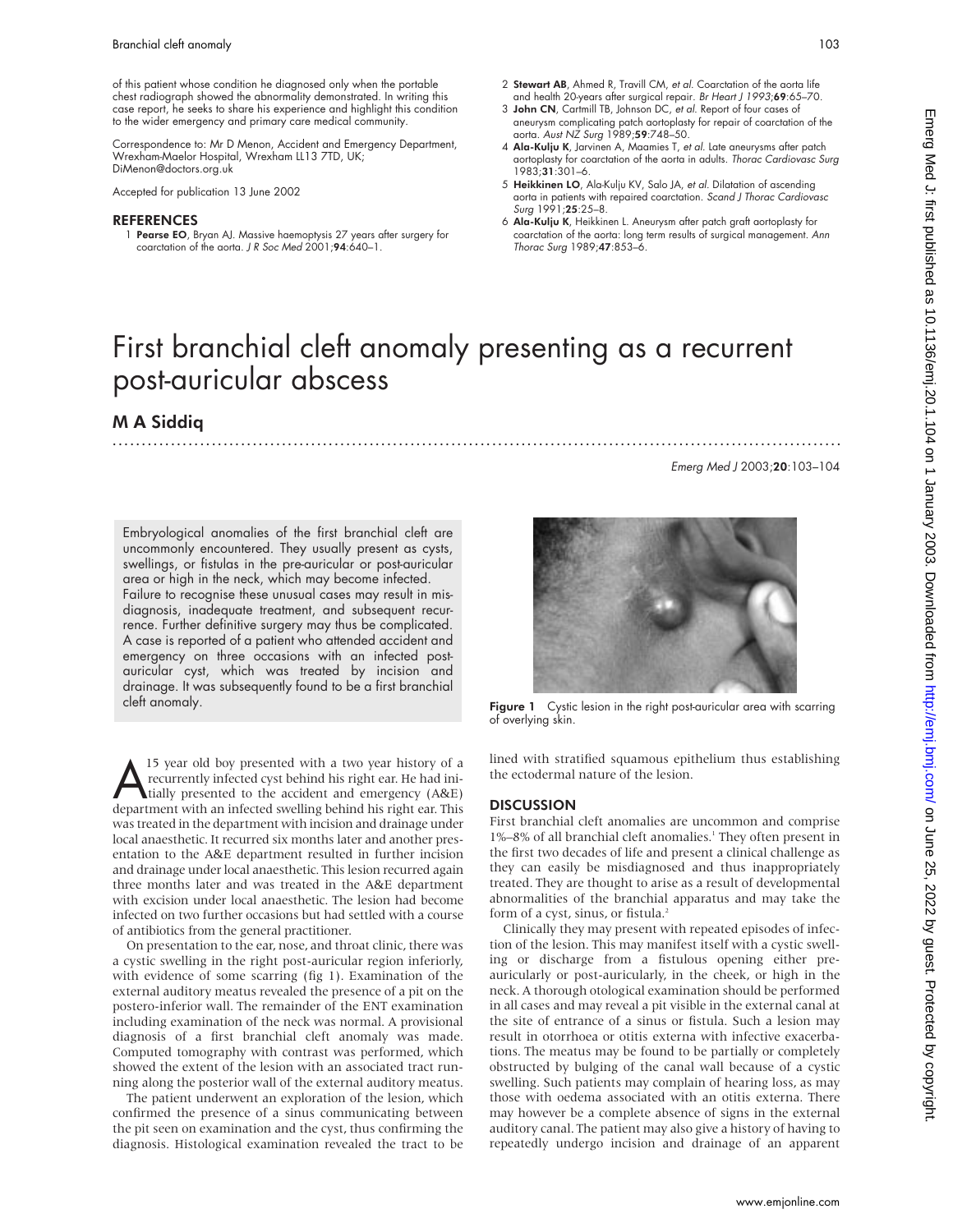of this patient whose condition he diagnosed only when the portable chest radiograph showed the abnormality demonstrated. In writing this case report, he seeks to share his experience and highlight this condition to the wider emergency and primary care medical community.

Correspondence to: Mr D Menon, Accident and Emergency Department, Wrexham-Maelor Hospital, Wrexham LL13 7TD, UK; DiMenon@doctors.org.uk

Accepted for publication 13 June 2002

#### REFERENCES

1 Pearse EO, Bryan AJ. Massive haemoptysis 27 years after surgery for coarctation of the aorta. J R Soc Med 2001;94:640-1.

- 2 Stewart AB, Ahmed R, Travill CM, et al. Coarctation of the aorta life and health 20-years after surgical repair. Br Heart J 1993;69:65-70.
- 3 John CN, Cartmill TB, Johnson DC, et al. Report of four cases of aneurysm complicating patch aortoplasty tor repair ot coarctation ot the<br>aorta. *Aust NZ Surg* 1989;**59**:748–50.
- 4 Ala-Kulju K, Jarvinen A, Maamies T, et al. Late aneurysms after patch aortoplasty for coarctation of the aorta in adults. Thorac Cardiovasc Surg 1983;31:301–6.
- 5 Heikkinen LO, Ala-Kulju KV, Salo JA, et al. Dilatation of ascending aorta in patients with repaired coarctation. Scand J Thorac Cardiovasc Surg 1991;25:25–8.
- 6 Ala-Kulju K, Heikkinen L. Aneurysm after patch graft aortoplasty for<br>coarctation of the aorta: long term results of surgical management. A*nn* Thorac Surg 1989;47:853–6.

# First branchial cleft anomaly presenting as a recurrent post-auricular abscess

### M A Siddiq

Embryological anomalies of the first branchial cleft are uncommonly encountered. They usually present as cysts, swellings, or fistulas in the pre-auricular or post-auricular area or high in the neck, which may become infected. Failure to recognise these unusual cases may result in misdiagnosis, inadequate treatment, and subsequent recurrence. Further definitive surgery may thus be complicated.

A case is reported of a patient who attended accident and emergency on three occasions with an infected postauricular cyst, which was treated by incision and drainage. It was subsequently found to be a first branchial cleft anomaly.

15 year old boy presented with a two year history of a<br>recurrently infected cyst behind his right ear. He had ini-<br>tially presented to the accident and emergency (A&E)<br>department with an infected swelling behind his right recurrently infected cyst behind his right ear. He had inidepartment with an infected swelling behind his right ear. This was treated in the department with incision and drainage under local anaesthetic. It recurred six months later and another presentation to the A&E department resulted in further incision and drainage under local anaesthetic. This lesion recurred again three months later and was treated in the A&E department with excision under local anaesthetic. The lesion had become infected on two further occasions but had settled with a course of antibiotics from the general practitioner.

On presentation to the ear, nose, and throat clinic, there was a cystic swelling in the right post-auricular region inferiorly, with evidence of some scarring (fig 1). Examination of the external auditory meatus revealed the presence of a pit on the postero-inferior wall. The remainder of the ENT examination including examination of the neck was normal. A provisional diagnosis of a first branchial cleft anomaly was made. Computed tomography with contrast was performed, which showed the extent of the lesion with an associated tract running along the posterior wall of the external auditory meatus.

The patient underwent an exploration of the lesion, which confirmed the presence of a sinus communicating between the pit seen on examination and the cyst, thus confirming the diagnosis. Histological examination revealed the tract to be



Emerg Med J 2003;20:103–104

.............................................................................................................................

Figure 1 Cystic lesion in the right post-auricular area with scarring of overlying skin.

lined with stratified squamous epithelium thus establishing the ectodermal nature of the lesion.

### **DISCUSSION**

First branchial cleft anomalies are uncommon and comprise 1%–8% of all branchial cleft anomalies.<sup>1</sup> They often present in the first two decades of life and present a clinical challenge as they can easily be misdiagnosed and thus inappropriately treated. They are thought to arise as a result of developmental abnormalities of the branchial apparatus and may take the form of a cyst, sinus, or fistula.<sup>2</sup>

Clinically they may present with repeated episodes of infection of the lesion. This may manifest itself with a cystic swelling or discharge from a fistulous opening either preauricularly or post-auricularly, in the cheek, or high in the neck. A thorough otological examination should be performed in all cases and may reveal a pit visible in the external canal at the site of entrance of a sinus or fistula. Such a lesion may result in otorrhoea or otitis externa with infective exacerbations. The meatus may be found to be partially or completely obstructed by bulging of the canal wall because of a cystic swelling. Such patients may complain of hearing loss, as may those with oedema associated with an otitis externa. There may however be a complete absence of signs in the external auditory canal. The patient may also give a history of having to repeatedly undergo incision and drainage of an apparent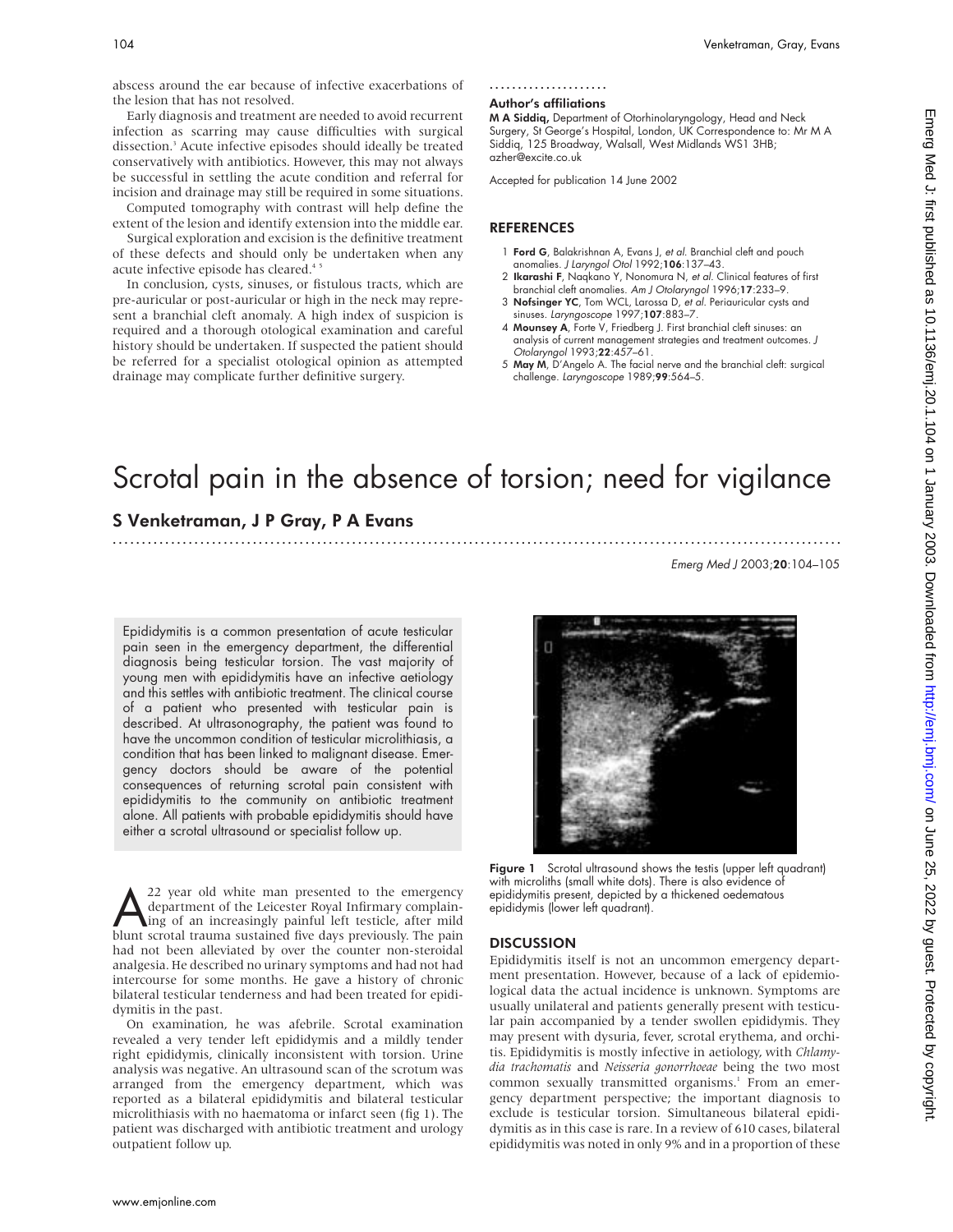abscess around the ear because of infective exacerbations of the lesion that has not resolved.

Early diagnosis and treatment are needed to avoid recurrent infection as scarring may cause difficulties with surgical dissection.3 Acute infective episodes should ideally be treated conservatively with antibiotics. However, this may not always be successful in settling the acute condition and referral for incision and drainage may still be required in some situations. Computed tomography with contrast will help define the

extent of the lesion and identify extension into the middle ear. Surgical exploration and excision is the definitive treatment

of these defects and should only be undertaken when any acute infective episode has cleared.<sup>45</sup>

In conclusion, cysts, sinuses, or fistulous tracts, which are pre-auricular or post-auricular or high in the neck may represent a branchial cleft anomaly. A high index of suspicion is required and a thorough otological examination and careful history should be undertaken. If suspected the patient should be referred for a specialist otological opinion as attempted drainage may complicate further definitive surgery.

#### .....................

#### Author's affiliations

M A Siddiq, Department of Otorhinolaryngology, Head and Neck Surgery, St George's Hospital, London, UK Correspondence to: Mr M A Siddiq, 125 Broadway, Walsall, West Midlands WS1 3HB; azher@excite.co.uk

Accepted for publication 14 June 2002

### **REFERENCES**

- 1 Ford G, Balakrishnan A, Evans J, et al. Branchial cleft and pouch anomalies. J Laryngol Otol 1992;106:137–43.
- 2 Ikarashi F, Naqkano Y, Nonomura N, et al. Clinical features of first branchial cleft anomalies. Am J Otolaryngol 1996;17:233–9.
- 3 Nofsinger YC, Tom WCL, Larossa D, et al. Periauricular cysts and sinuses. Laryngoscope 1997;107:883-7.
- 4 Mounsey A, Forte V, Friedberg J. First branchial cleft sinuses: an analysis of current management strategies and treatment outcomes. J Otolaryngol 1993;22:457–61.
- 5 May M, D'Angelo A. The facial nerve and the branchial cleft: surgical challenge. Laryngoscope 1989;99:564–5.

# Scrotal pain in the absence of torsion; need for vigilance

.............................................................................................................................

### S Venketraman, J P Gray, P A Evans

Emerg Med J 2003;20:104–105

Epididymitis is a common presentation of acute testicular pain seen in the emergency department, the differential diagnosis being testicular torsion. The vast majority of young men with epididymitis have an infective aetiology and this settles with antibiotic treatment. The clinical course of a patient who presented with testicular pain is described. At ultrasonography, the patient was found to have the uncommon condition of testicular microlithiasis, a condition that has been linked to malignant disease. Emergency doctors should be aware of the potential consequences of returning scrotal pain consistent with epididymitis to the community on antibiotic treatment alone. All patients with probable epididymitis should have either a scrotal ultrasound or specialist follow up.

explored to the emergency department of the Leicester Royal Infirmary complain-<br>ing of an increasingly painful left testicle, after mild<br>blunt scrotal trauma sustained five days previously. The pain department of the Leicester Royal Infirmary complainblunt scrotal trauma sustained five days previously. The pain had not been alleviated by over the counter non-steroidal analgesia. He described no urinary symptoms and had not had intercourse for some months. He gave a history of chronic bilateral testicular tenderness and had been treated for epididymitis in the past.

On examination, he was afebrile. Scrotal examination revealed a very tender left epididymis and a mildly tender right epididymis, clinically inconsistent with torsion. Urine analysis was negative. An ultrasound scan of the scrotum was arranged from the emergency department, which was reported as a bilateral epididymitis and bilateral testicular microlithiasis with no haematoma or infarct seen (fig 1). The patient was discharged with antibiotic treatment and urology outpatient follow up.



Figure 1 Scrotal ultrasound shows the testis (upper left quadrant) with microliths (small white dots). There is also evidence of epididymitis present, depicted by a thickened oedematous epididymis (lower left quadrant).

#### **DISCUSSION**

Epididymitis itself is not an uncommon emergency department presentation. However, because of a lack of epidemiological data the actual incidence is unknown. Symptoms are usually unilateral and patients generally present with testicular pain accompanied by a tender swollen epididymis. They may present with dysuria, fever, scrotal erythema, and orchitis. Epididymitis is mostly infective in aetiology, with *Chlamydia trachomatis* and *Neisseria gonorrhoeae* being the two most common sexually transmitted organisms.<sup>1</sup> From an emergency department perspective; the important diagnosis to exclude is testicular torsion. Simultaneous bilateral epididymitis as in this case is rare. In a review of 610 cases, bilateral epididymitis was noted in only 9% and in a proportion of these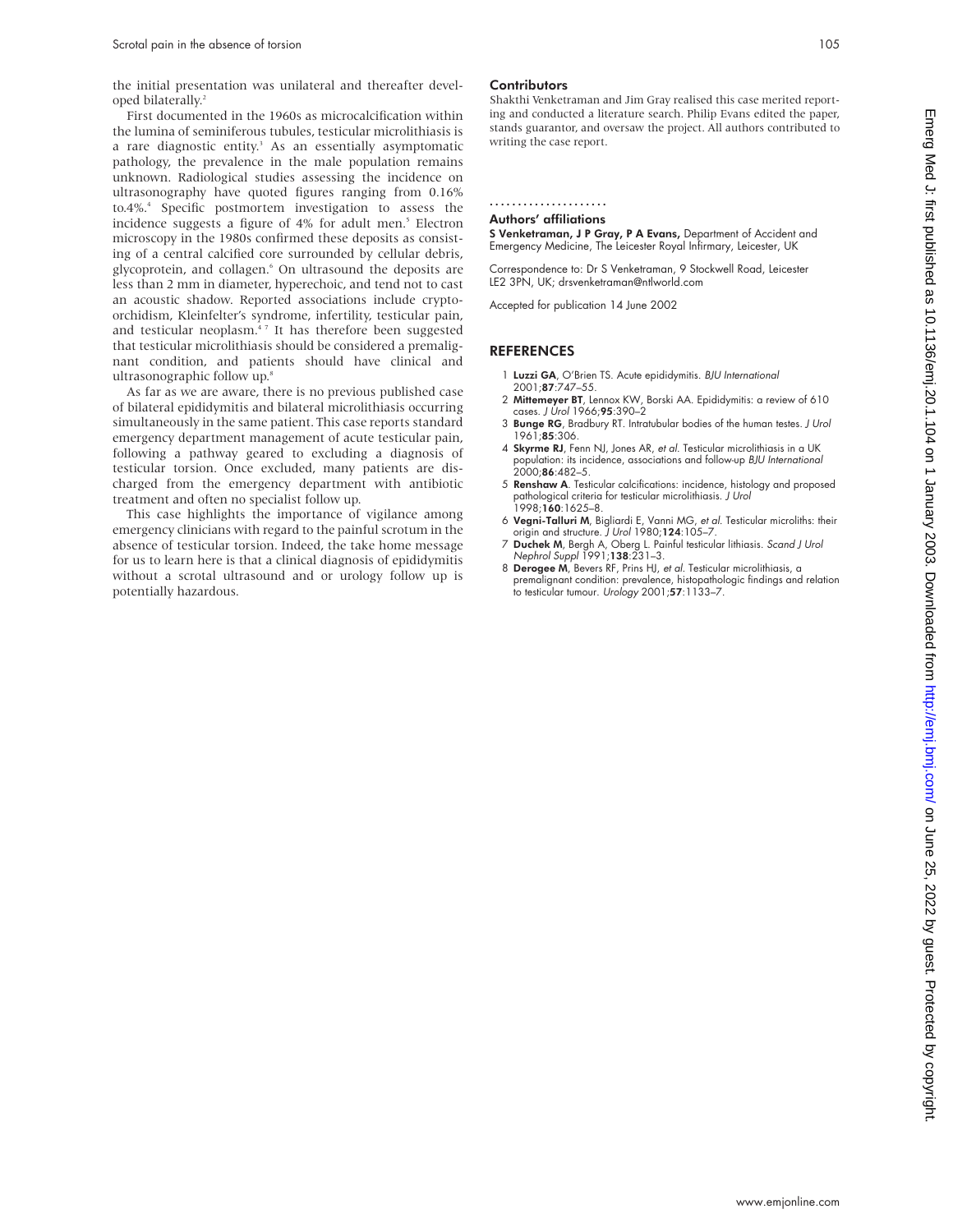the initial presentation was unilateral and thereafter developed bilaterally.2

First documented in the 1960s as microcalcification within the lumina of seminiferous tubules, testicular microlithiasis is a rare diagnostic entity.<sup>3</sup> As an essentially asymptomatic pathology, the prevalence in the male population remains unknown. Radiological studies assessing the incidence on ultrasonography have quoted figures ranging from 0.16% to.4%.4 Specific postmortem investigation to assess the incidence suggests a figure of 4% for adult men.<sup>5</sup> Electron microscopy in the 1980s confirmed these deposits as consisting of a central calcified core surrounded by cellular debris, glycoprotein, and collagen.<sup>6</sup> On ultrasound the deposits are less than 2 mm in diameter, hyperechoic, and tend not to cast an acoustic shadow. Reported associations include cryptoorchidism, Kleinfelter's syndrome, infertility, testicular pain, and testicular neoplasm.<sup>47</sup> It has therefore been suggested that testicular microlithiasis should be considered a premalignant condition, and patients should have clinical and ultrasonographic follow up.<sup>8</sup>

As far as we are aware, there is no previous published case of bilateral epididymitis and bilateral microlithiasis occurring simultaneously in the same patient. This case reports standard emergency department management of acute testicular pain, following a pathway geared to excluding a diagnosis of testicular torsion. Once excluded, many patients are discharged from the emergency department with antibiotic treatment and often no specialist follow up.

This case highlights the importance of vigilance among emergency clinicians with regard to the painful scrotum in the absence of testicular torsion. Indeed, the take home message for us to learn here is that a clinical diagnosis of epididymitis without a scrotal ultrasound and or urology follow up is potentially hazardous.

#### **Contributors**

Shakthi Venketraman and Jim Gray realised this case merited reporting and conducted a literature search. Philip Evans edited the paper, stands guarantor, and oversaw the project. All authors contributed to writing the case report.

..................... Authors' affiliations

S Venketraman, J P Gray, P A Evans, Department of Accident and Emergency Medicine, The Leicester Royal Infirmary, Leicester, UK

Correspondence to: Dr S Venketraman, 9 Stockwell Road, Leicester LE2 3PN, UK; drsvenketraman@ntlworld.com

Accepted for publication 14 June 2002

- 1 Luzzi GA, O'Brien TS. Acute epididymitis. BJU International 2001;87:747–55.
- 2 Mittemeyer BT, Lennox KW, Borski AA. Epididymitis: a review of 610 cases. J Urol 1966;95:390–2
- 3 Bunge RG, Bradbury RT. Intratubular bodies of the human testes. J Urol 1961;85:306.
- 4 Skyrme RJ, Fenn NJ, Jones AR, et al. Testicular microlithiasis in a UK population: its incidence, associations and follow-up BJU International  $2000;86:482-5$
- 5 Renshaw A. Testicular calcifications: incidence, histology and proposed pathological criteria for testicular microlithiasis. J Urol 1998;160:1625–8.
- 6 Vegni-Talluri M, Bigliardi E, Vanni MG, et al. Testicular microliths: their origin and structure. J Urol 1980;124:105-7.
- 7 Duchek M, Bergh A, Oberg L. Painful testicular lithiasis. Scand J Urol Nephrol Suppl 1991;138:231–3.
- 8 Derogee M, Bevers RF, Prins HJ, et al. Testicular microlithiasis, a premalignant condition: prevalence, histopathologic findings and relation to testicular tumour. Urology 2001;57:1133–7.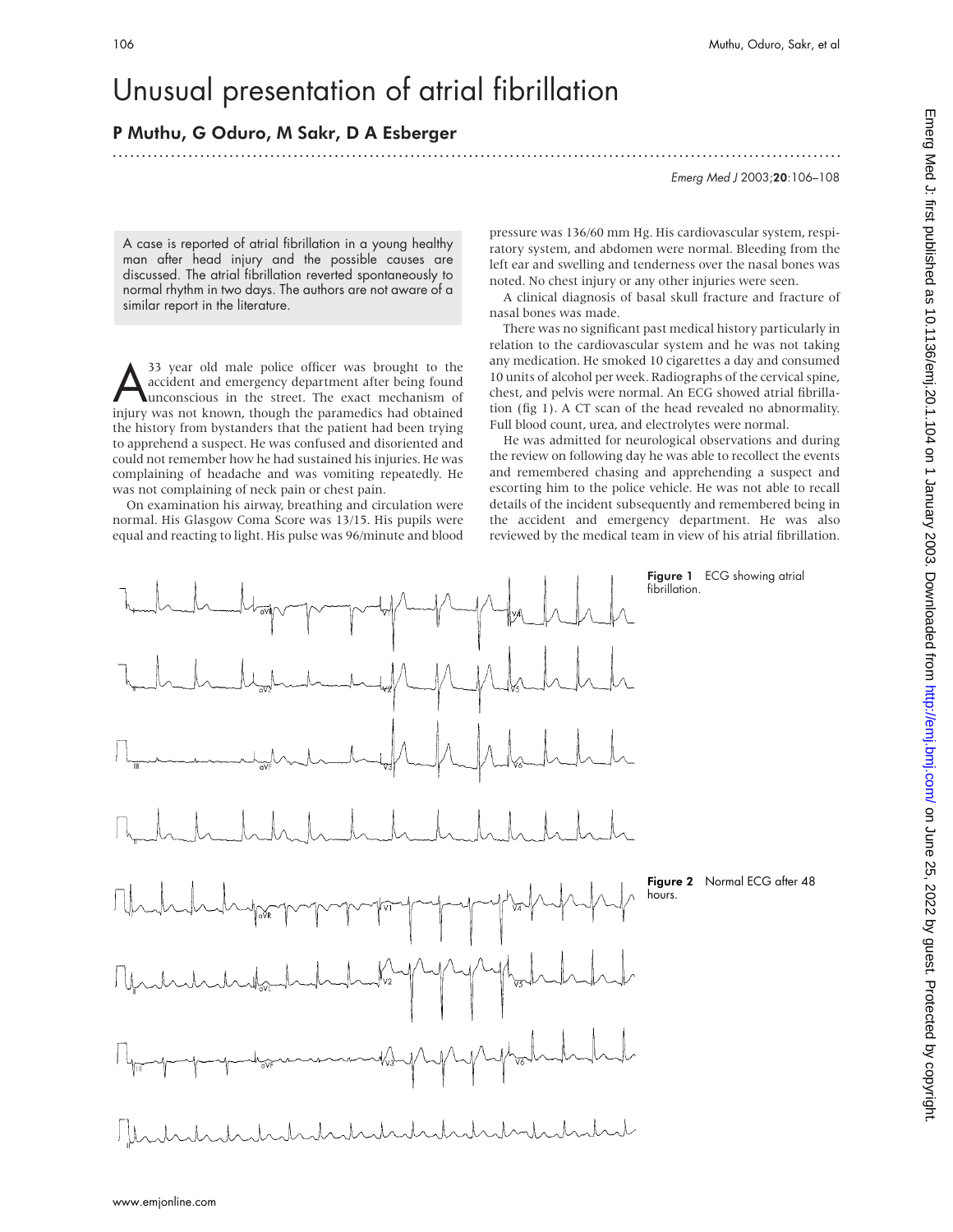# Unusual presentation of atrial fibrillation

## P Muthu, G Oduro, M Sakr, D A Esberger

.............................................................................................................................

Emerg Med J 2003;20:106–108

A case is reported of atrial fibrillation in a young healthy man after head injury and the possible causes are discussed. The atrial fibrillation reverted spontaneously to normal rhythm in two days. The authors are not aware of a similar report in the literature.

<sup>33</sup> year old male police officer was brought to the<br>accident and emergency department after being found<br>unconscious in the street. The exact mechanism of accident and emergency department after being found unconscious in the street. The exact mechanism of injury was not known, though the paramedics had obtained the history from bystanders that the patient had been trying to apprehend a suspect. He was confused and disoriented and could not remember how he had sustained his injuries. He was complaining of headache and was vomiting repeatedly. He was not complaining of neck pain or chest pain.

On examination his airway, breathing and circulation were normal. His Glasgow Coma Score was 13/15. His pupils were equal and reacting to light. His pulse was 96/minute and blood pressure was 136/60 mm Hg. His cardiovascular system, respiratory system, and abdomen were normal. Bleeding from the left ear and swelling and tenderness over the nasal bones was noted. No chest injury or any other injuries were seen.

A clinical diagnosis of basal skull fracture and fracture of nasal bones was made.

There was no significant past medical history particularly in relation to the cardiovascular system and he was not taking any medication. He smoked 10 cigarettes a day and consumed 10 units of alcohol per week. Radiographs of the cervical spine, chest, and pelvis were normal. An ECG showed atrial fibrillation (fig 1). A CT scan of the head revealed no abnormality. Full blood count, urea, and electrolytes were normal.

He was admitted for neurological observations and during the review on following day he was able to recollect the events and remembered chasing and apprehending a suspect and escorting him to the police vehicle. He was not able to recall details of the incident subsequently and remembered being in the accident and emergency department. He was also reviewed by the medical team in view of his atrial fibrillation.

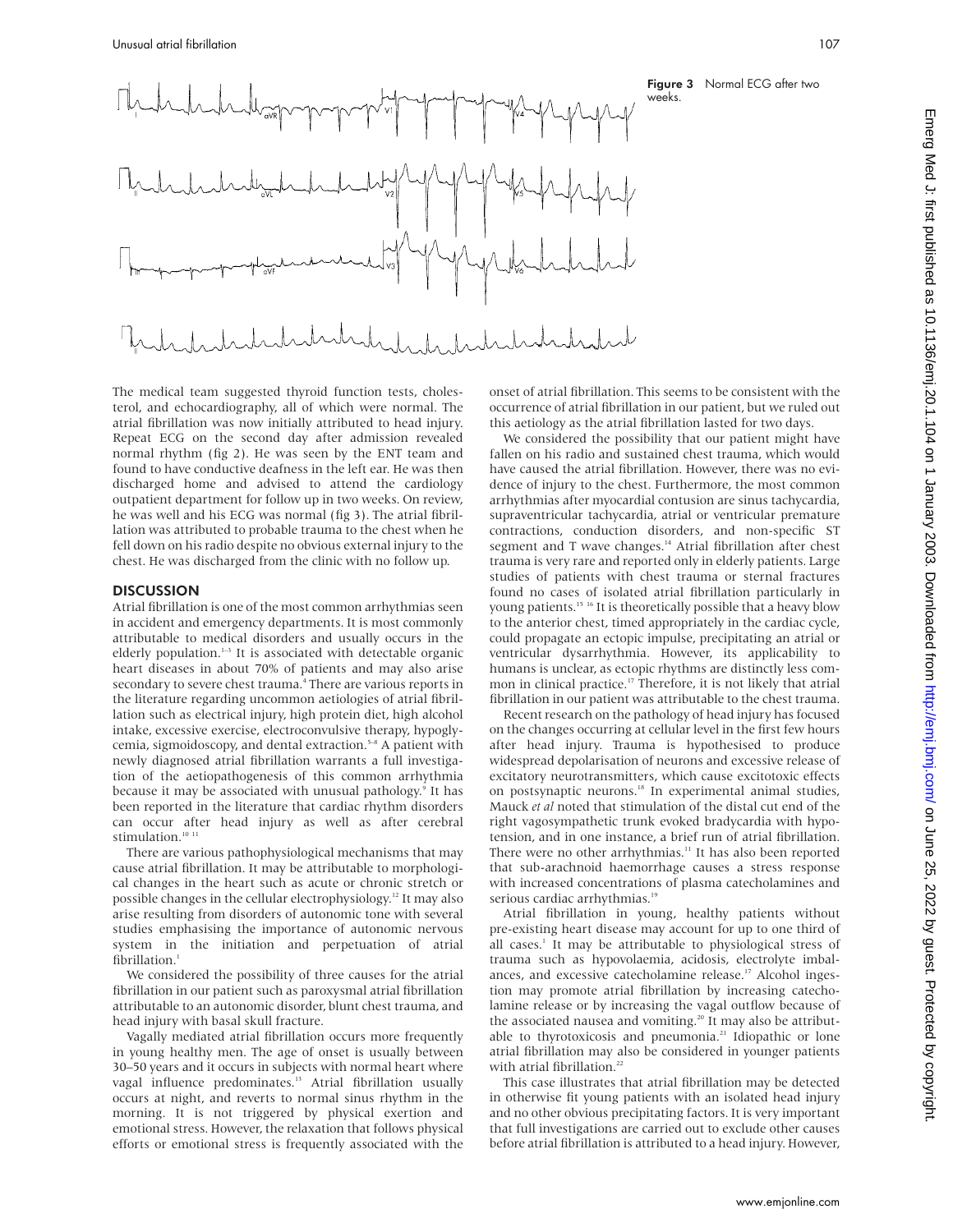

Figure 3 Normal ECG after two weeks.

The medical team suggested thyroid function tests, cholesterol, and echocardiography, all of which were normal. The atrial fibrillation was now initially attributed to head injury. Repeat ECG on the second day after admission revealed normal rhythm (fig 2). He was seen by the ENT team and found to have conductive deafness in the left ear. He was then discharged home and advised to attend the cardiology outpatient department for follow up in two weeks. On review, he was well and his ECG was normal (fig 3). The atrial fibrillation was attributed to probable trauma to the chest when he fell down on his radio despite no obvious external injury to the chest. He was discharged from the clinic with no follow up.

#### **DISCUSSION**

Atrial fibrillation is one of the most common arrhythmias seen in accident and emergency departments. It is most commonly attributable to medical disorders and usually occurs in the elderly population.<sup>1-3</sup> It is associated with detectable organic heart diseases in about 70% of patients and may also arise secondary to severe chest trauma.<sup>4</sup> There are various reports in the literature regarding uncommon aetiologies of atrial fibrillation such as electrical injury, high protein diet, high alcohol intake, excessive exercise, electroconvulsive therapy, hypoglycemia, sigmoidoscopy, and dental extraction.<sup>5-8</sup> A patient with newly diagnosed atrial fibrillation warrants a full investigation of the aetiopathogenesis of this common arrhythmia because it may be associated with unusual pathology.<sup>9</sup> It has been reported in the literature that cardiac rhythm disorders can occur after head injury as well as after cerebral stimulation.<sup>10 11</sup>

There are various pathophysiological mechanisms that may cause atrial fibrillation. It may be attributable to morphological changes in the heart such as acute or chronic stretch or possible changes in the cellular electrophysiology.12 It may also arise resulting from disorders of autonomic tone with several studies emphasising the importance of autonomic nervous system in the initiation and perpetuation of atrial fibrillation.<sup>1</sup>

We considered the possibility of three causes for the atrial fibrillation in our patient such as paroxysmal atrial fibrillation attributable to an autonomic disorder, blunt chest trauma, and head injury with basal skull fracture.

Vagally mediated atrial fibrillation occurs more frequently in young healthy men. The age of onset is usually between 30–50 years and it occurs in subjects with normal heart where vagal influence predominates.<sup>13</sup> Atrial fibrillation usually occurs at night, and reverts to normal sinus rhythm in the morning. It is not triggered by physical exertion and emotional stress. However, the relaxation that follows physical efforts or emotional stress is frequently associated with the

onset of atrial fibrillation. This seems to be consistent with the occurrence of atrial fibrillation in our patient, but we ruled out this aetiology as the atrial fibrillation lasted for two days.

We considered the possibility that our patient might have fallen on his radio and sustained chest trauma, which would have caused the atrial fibrillation. However, there was no evidence of injury to the chest. Furthermore, the most common arrhythmias after myocardial contusion are sinus tachycardia, supraventricular tachycardia, atrial or ventricular premature contractions, conduction disorders, and non-specific ST segment and T wave changes.<sup>14</sup> Atrial fibrillation after chest trauma is very rare and reported only in elderly patients. Large studies of patients with chest trauma or sternal fractures found no cases of isolated atrial fibrillation particularly in young patients.<sup>15 16</sup> It is theoretically possible that a heavy blow to the anterior chest, timed appropriately in the cardiac cycle, could propagate an ectopic impulse, precipitating an atrial or ventricular dysarrhythmia. However, its applicability to humans is unclear, as ectopic rhythms are distinctly less common in clinical practice.<sup>17</sup> Therefore, it is not likely that atrial fibrillation in our patient was attributable to the chest trauma.

Recent research on the pathology of head injury has focused on the changes occurring at cellular level in the first few hours after head injury. Trauma is hypothesised to produce widespread depolarisation of neurons and excessive release of excitatory neurotransmitters, which cause excitotoxic effects on postsynaptic neurons.<sup>18</sup> In experimental animal studies, Mauck *et al* noted that stimulation of the distal cut end of the right vagosympathetic trunk evoked bradycardia with hypotension, and in one instance, a brief run of atrial fibrillation. There were no other arrhythmias.<sup>11</sup> It has also been reported that sub-arachnoid haemorrhage causes a stress response with increased concentrations of plasma catecholamines and serious cardiac arrhythmias.<sup>19</sup>

Atrial fibrillation in young, healthy patients without pre-existing heart disease may account for up to one third of all cases.<sup>1</sup> It may be attributable to physiological stress of trauma such as hypovolaemia, acidosis, electrolyte imbalances, and excessive catecholamine release.<sup>17</sup> Alcohol ingestion may promote atrial fibrillation by increasing catecholamine release or by increasing the vagal outflow because of the associated nausea and vomiting.<sup>20</sup> It may also be attributable to thyrotoxicosis and pneumonia.<sup>21</sup> Idiopathic or lone atrial fibrillation may also be considered in younger patients with atrial fibrillation.<sup>22</sup>

This case illustrates that atrial fibrillation may be detected in otherwise fit young patients with an isolated head injury and no other obvious precipitating factors. It is very important that full investigations are carried out to exclude other causes before atrial fibrillation is attributed to a head injury. However,